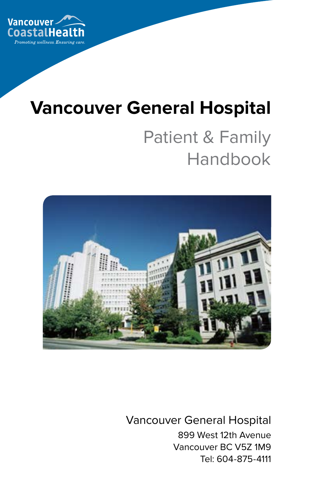

# **Vancouver General Hospital**

# Patient & Family Handbook



Vancouver General Hospital 899 West 12th Avenue Vancouver BC V5Z 1M9 Tel: 604-875-4111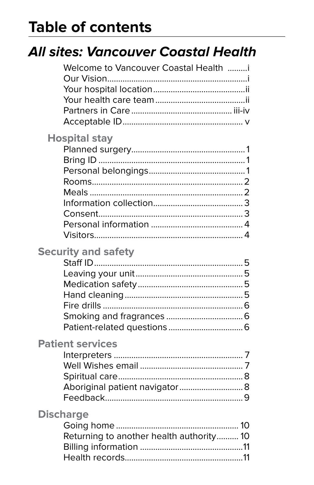# **Table of contents**

|                  | All sites: Vancouver Coastal Health                       |   |
|------------------|-----------------------------------------------------------|---|
|                  | Welcome to Vancouver Coastal Health i                     |   |
|                  | <b>Hospital stay</b>                                      |   |
|                  | <b>Security and safety</b>                                |   |
|                  | <b>Patient services</b><br>Aboriginal patient navigator 8 | 9 |
| <b>Discharge</b> | Returning to another health authority 10                  |   |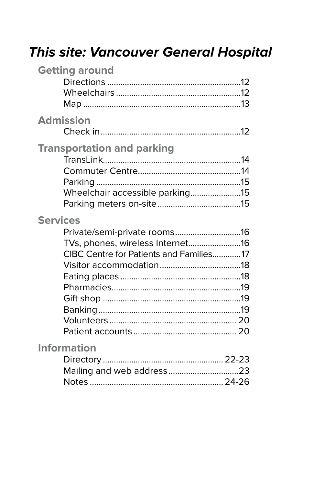# This site: Vancouver General Hospital

| <b>Getting around</b>                                                                          |  |
|------------------------------------------------------------------------------------------------|--|
| <b>Admission</b>                                                                               |  |
| <b>Transportation and parking</b><br>Wheelchair accessible parking15                           |  |
| <b>Services</b><br>TVs, phones, wireless Internet16<br>CIBC Centre for Patients and Families17 |  |
| <b>Information</b><br>Mailing and web address23                                                |  |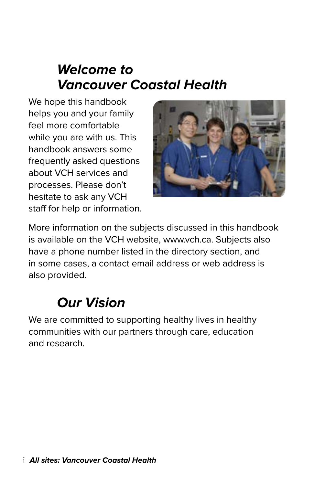## **Welcome to Vancouver Coastal Health**

We hope this handbook helps you and your family feel more comfortable while you are with us. This handbook answers some frequently asked questions about VCH services and processes. Please don't hesitate to ask any VCH staff for help or information.



More information on the subjects discussed in this handbook is available on the VCH website, www.vch.ca. Subjects also have a phone number listed in the directory section, and in some cases, a contact email address or web address is also provided.

## **Our Vision**

We are committed to supporting healthy lives in healthy communities with our partners through care, education and research.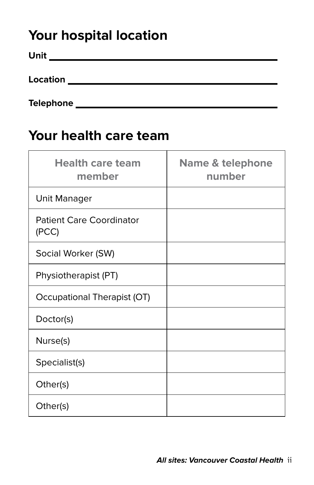## **Your hospital location**

| Unit     |  |  |  |
|----------|--|--|--|
|          |  |  |  |
| Location |  |  |  |
|          |  |  |  |

**Telephone** 

## **Your health care team**

| <b>Health care team</b><br>member        | <b>Name &amp; telephone</b><br>number |
|------------------------------------------|---------------------------------------|
| Unit Manager                             |                                       |
| <b>Patient Care Coordinator</b><br>(PCC) |                                       |
| Social Worker (SW)                       |                                       |
| Physiotherapist (PT)                     |                                       |
| Occupational Therapist (OT)              |                                       |
| Doctor(s)                                |                                       |
| Nurse(s)                                 |                                       |
| Specialist(s)                            |                                       |
| Other(s)                                 |                                       |
| Other(s)                                 |                                       |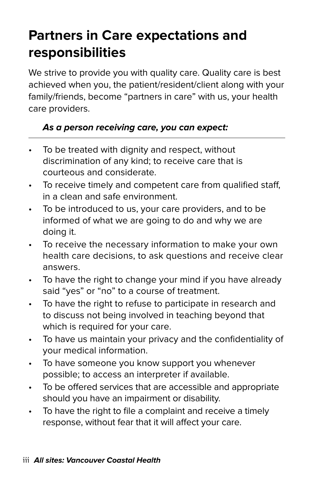## **Partners in Care expectations and responsibilities**

We strive to provide you with quality care. Quality care is best achieved when you, the patient/resident/client along with your family/friends, become "partners in care" with us, your health care providers.

#### **As a person receiving care, you can expect:**

- To be treated with dignity and respect, without discrimination of any kind; to receive care that is courteous and considerate.
- To receive timely and competent care from qualified staff, in a clean and safe environment.
- To be introduced to us, your care providers, and to be informed of what we are going to do and why we are doing it.
- To receive the necessary information to make your own health care decisions, to ask questions and receive clear answers.
- To have the right to change your mind if you have already said "yes" or "no" to a course of treatment.
- To have the right to refuse to participate in research and to discuss not being involved in teaching beyond that which is required for your care.
- To have us maintain your privacy and the confidentiality of your medical information.
- To have someone you know support you whenever possible; to access an interpreter if available.
- To be offered services that are accessible and appropriate should you have an impairment or disability.
- To have the right to file a complaint and receive a timely response, without fear that it will affect your care.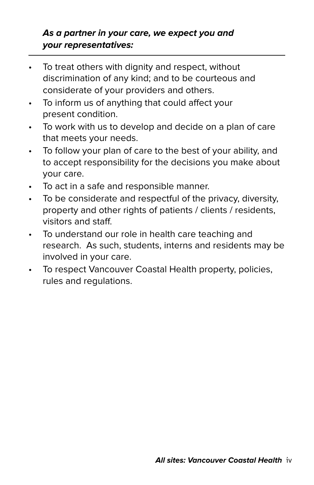#### **As a partner in your care, we expect you and your representatives:**

- To treat others with dignity and respect, without discrimination of any kind; and to be courteous and considerate of your providers and others.
- To inform us of anything that could affect your present condition.
- To work with us to develop and decide on a plan of care that meets your needs.
- To follow your plan of care to the best of your ability, and to accept responsibility for the decisions you make about your care.
- To act in a safe and responsible manner.
- To be considerate and respectful of the privacy, diversity, property and other rights of patients / clients / residents, visitors and staff.
- To understand our role in health care teaching and research. As such, students, interns and residents may be involved in your care.
- To respect Vancouver Coastal Health property, policies, rules and regulations.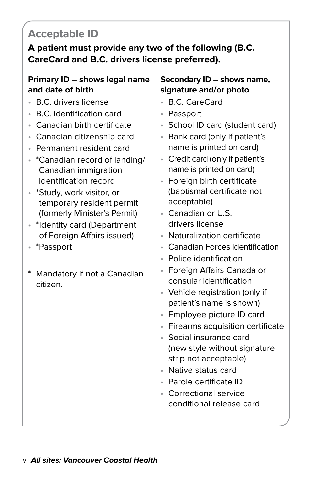### **Acceptable ID**

**A patient must provide any two of the following (B.C. CareCard and B.C. drivers license preferred).**

#### **Primary ID – shows legal name and date of birth**

- B.C. drivers license
- B.C. identification card
- Canadian birth certificate
- Canadian citizenship card
- Permanent resident card
- \*Canadian record of landing/ Canadian immigration identification record
- \*Study, work visitor, or temporary resident permit (formerly Minister's Permit)
- \*Identity card (Department of Foreign Affairs issued)
- \*Passport
- Mandatory if not a Canadian citizen.

#### **Secondary ID – shows name, signature and/or photo**

- B.C. CareCard
- Passport
- School ID card (student card)
- Bank card (only if patient's name is printed on card)
- Credit card (only if patient's name is printed on card)
- Foreign birth certificate (baptismal certificate not acceptable)
- Canadian or U.S. drivers license
- Naturalization certificate
- Canadian Forces identification
- Police identification
- Foreign Affairs Canada or consular identification
- Vehicle registration (only if patient's name is shown)
- Employee picture ID card
- Firearms acquisition certificate
- Social insurance card (new style without signature strip not acceptable)
- Native status card
- Parole certificate ID
- Correctional service conditional release card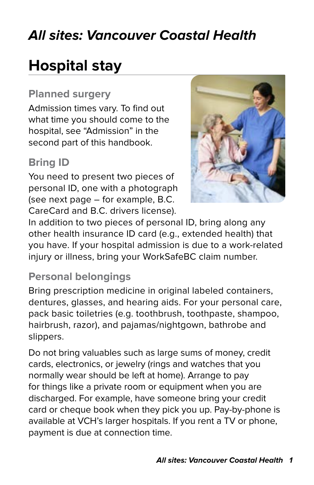## **All sites: Vancouver Coastal Health**

# **Hospital stay**

#### **Planned surgery**

Admission times vary. To find out what time you should come to the hospital, see "Admission" in the second part of this handbook.

### **Bring ID**

You need to present two pieces of personal ID, one with a photograph (see next page – for example, B.C. CareCard and B.C. drivers license).



In addition to two pieces of personal ID, bring along any other health insurance ID card (e.g., extended health) that you have. If your hospital admission is due to a work-related injury or illness, bring your WorkSafeBC claim number.

#### **Personal belongings**

Bring prescription medicine in original labeled containers, dentures, glasses, and hearing aids. For your personal care, pack basic toiletries (e.g. toothbrush, toothpaste, shampoo, hairbrush, razor), and pajamas/nightgown, bathrobe and slippers.

Do not bring valuables such as large sums of money, credit cards, electronics, or jewelry (rings and watches that you normally wear should be left at home). Arrange to pay for things like a private room or equipment when you are discharged. For example, have someone bring your credit card or cheque book when they pick you up. Pay-by-phone is available at VCH's larger hospitals. If you rent a TV or phone, payment is due at connection time.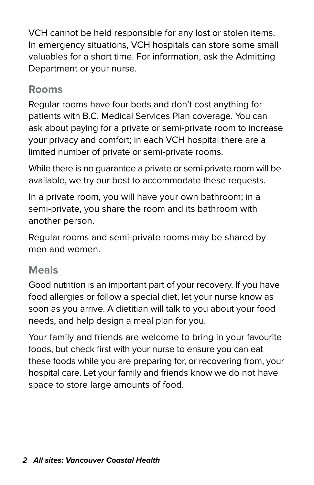VCH cannot be held responsible for any lost or stolen items. In emergency situations, VCH hospitals can store some small valuables for a short time. For information, ask the Admitting Department or your nurse.

#### **Rooms**

Regular rooms have four beds and don't cost anything for patients with B.C. Medical Services Plan coverage. You can ask about paying for a private or semi-private room to increase your privacy and comfort; in each VCH hospital there are a limited number of private or semi-private rooms.

While there is no guarantee a private or semi-private room will be available, we try our best to accommodate these requests.

In a private room, you will have your own bathroom; in a semi-private, you share the room and its bathroom with another person.

Regular rooms and semi-private rooms may be shared by men and women.

#### **Meals**

Good nutrition is an important part of your recovery. If you have food allergies or follow a special diet, let your nurse know as soon as you arrive. A dietitian will talk to you about your food needs, and help design a meal plan for you.

Your family and friends are welcome to bring in your favourite foods, but check first with your nurse to ensure you can eat these foods while you are preparing for, or recovering from, your hospital care. Let your family and friends know we do not have space to store large amounts of food.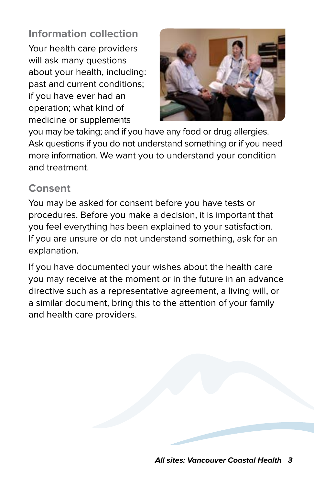**Information collection**  Your health care providers will ask many questions about your health, including: past and current conditions; if you have ever had an operation; what kind of medicine or supplements



you may be taking; and if you have any food or drug allergies. Ask questions if you do not understand something or if you need more information. We want you to understand your condition and treatment.

#### **Consent**

You may be asked for consent before you have tests or procedures. Before you make a decision, it is important that you feel everything has been explained to your satisfaction. If you are unsure or do not understand something, ask for an explanation.

If you have documented your wishes about the health care you may receive at the moment or in the future in an advance directive such as a representative agreement, a living will, or a similar document, bring this to the attention of your family and health care providers.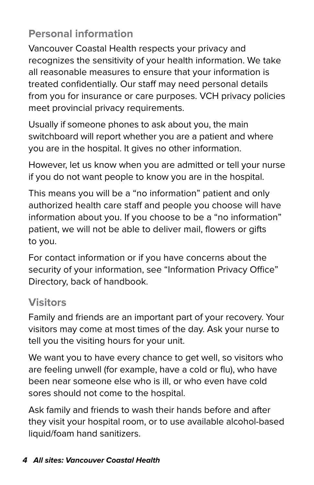### **Personal information**

Vancouver Coastal Health respects your privacy and recognizes the sensitivity of your health information. We take all reasonable measures to ensure that your information is treated confidentially. Our staff may need personal details from you for insurance or care purposes. VCH privacy policies meet provincial privacy requirements.

Usually if someone phones to ask about you, the main switchboard will report whether you are a patient and where you are in the hospital. It gives no other information.

However, let us know when you are admitted or tell your nurse if you do not want people to know you are in the hospital.

This means you will be a "no information" patient and only authorized health care staff and people you choose will have information about you. If you choose to be a "no information" patient, we will not be able to deliver mail, flowers or gifts to you.

For contact information or if you have concerns about the security of your information, see "Information Privacy Office" Directory, back of handbook.

#### **Visitors**

Family and friends are an important part of your recovery. Your visitors may come at most times of the day. Ask your nurse to tell you the visiting hours for your unit.

We want you to have every chance to get well, so visitors who are feeling unwell (for example, have a cold or flu), who have been near someone else who is ill, or who even have cold sores should not come to the hospital.

Ask family and friends to wash their hands before and after they visit your hospital room, or to use available alcohol-based liquid/foam hand sanitizers.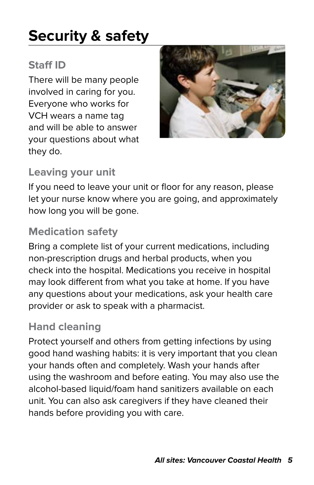# **Security & safety**

### **Staff ID**

There will be many people involved in caring for you. Everyone who works for VCH wears a name tag and will be able to answer your questions about what they do.



#### **Leaving your unit**

If you need to leave your unit or floor for any reason, please let your nurse know where you are going, and approximately how long you will be gone.

#### **Medication safety**

Bring a complete list of your current medications, including non-prescription drugs and herbal products, when you check into the hospital. Medications you receive in hospital may look different from what you take at home. If you have any questions about your medications, ask your health care provider or ask to speak with a pharmacist.

#### **Hand cleaning**

Protect yourself and others from getting infections by using good hand washing habits: it is very important that you clean your hands often and completely. Wash your hands after using the washroom and before eating. You may also use the alcohol-based liquid/foam hand sanitizers available on each unit. You can also ask caregivers if they have cleaned their hands before providing you with care.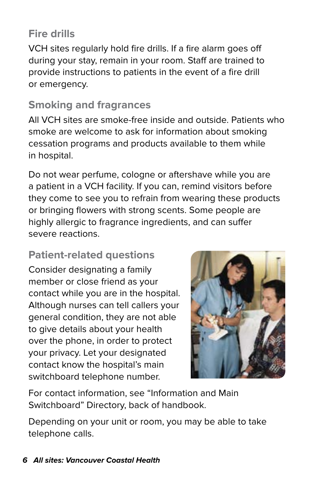### **Fire drills**

VCH sites regularly hold fire drills. If a fire alarm goes off during your stay, remain in your room. Staff are trained to provide instructions to patients in the event of a fire drill or emergency.

#### **Smoking and fragrances**

All VCH sites are smoke-free inside and outside. Patients who smoke are welcome to ask for information about smoking cessation programs and products available to them while in hospital.

Do not wear perfume, cologne or aftershave while you are a patient in a VCH facility. If you can, remind visitors before they come to see you to refrain from wearing these products or bringing flowers with strong scents. Some people are highly allergic to fragrance ingredients, and can suffer severe reactions.

#### **Patient-related questions**

Consider designating a family member or close friend as your contact while you are in the hospital. Although nurses can tell callers your general condition, they are not able to give details about your health over the phone, in order to protect your privacy. Let your designated contact know the hospital's main switchboard telephone number.



For contact information, see "Information and Main Switchboard" Directory, back of handbook.

Depending on your unit or room, you may be able to take telephone calls.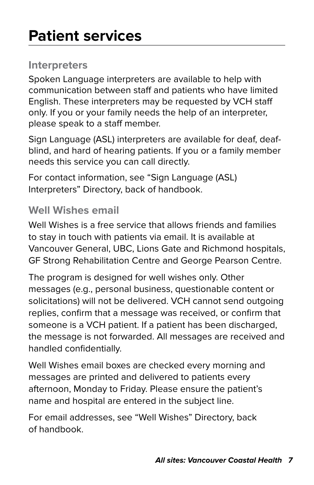#### **Interpreters**

Spoken Language interpreters are available to help with communication between staff and patients who have limited English. These interpreters may be requested by VCH staff only. If you or your family needs the help of an interpreter, please speak to a staff member.

Sign Language (ASL) interpreters are available for deaf, deafblind, and hard of hearing patients. If you or a family member needs this service you can call directly.

For contact information, see "Sign Language (ASL) Interpreters" Directory, back of handbook.

#### **Well Wishes email**

Well Wishes is a free service that allows friends and families to stay in touch with patients via email. It is available at Vancouver General, UBC, Lions Gate and Richmond hospitals, GF Strong Rehabilitation Centre and George Pearson Centre.

The program is designed for well wishes only. Other messages (e.g., personal business, questionable content or solicitations) will not be delivered. VCH cannot send outgoing replies, confirm that a message was received, or confirm that someone is a VCH patient. If a patient has been discharged, the message is not forwarded. All messages are received and handled confidentially.

Well Wishes email boxes are checked every morning and messages are printed and delivered to patients every afternoon, Monday to Friday. Please ensure the patient's name and hospital are entered in the subject line.

For email addresses, see "Well Wishes" Directory, back of handbook.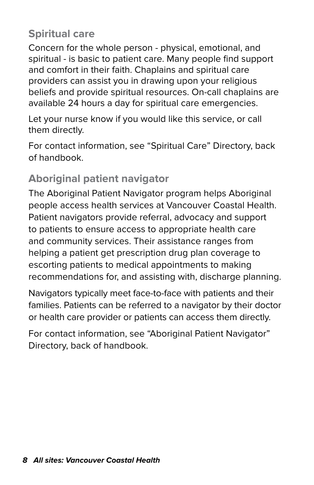#### **Spiritual care**

Concern for the whole person - physical, emotional, and spiritual - is basic to patient care. Many people find support and comfort in their faith. Chaplains and spiritual care providers can assist you in drawing upon your religious beliefs and provide spiritual resources. On-call chaplains are available 24 hours a day for spiritual care emergencies.

Let your nurse know if you would like this service, or call them directly.

For contact information, see "Spiritual Care" Directory, back of handbook.

### **Aboriginal patient navigator**

The Aboriginal Patient Navigator program helps Aboriginal people access health services at Vancouver Coastal Health. Patient navigators provide referral, advocacy and support to patients to ensure access to appropriate health care and community services. Their assistance ranges from helping a patient get prescription drug plan coverage to escorting patients to medical appointments to making recommendations for, and assisting with, discharge planning.

Navigators typically meet face-to-face with patients and their families. Patients can be referred to a navigator by their doctor or health care provider or patients can access them directly.

For contact information, see "Aboriginal Patient Navigator" Directory, back of handbook.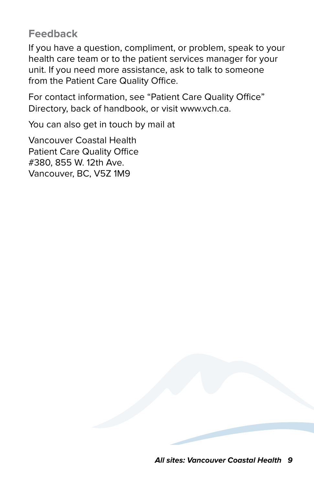#### **Feedback**

If you have a question, compliment, or problem, speak to your health care team or to the patient services manager for your unit. If you need more assistance, ask to talk to someone from the Patient Care Quality Office.

For contact information, see "Patient Care Quality Office" Directory, back of handbook, or visit www.vch.ca.

You can also get in touch by mail at

Vancouver Coastal Health Patient Care Quality Office #380, 855 W. 12th Ave. Vancouver, BC, V5Z 1M9

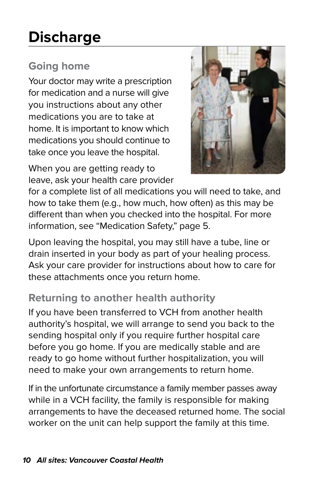# **Discharge**

### **Going home**

Your doctor may write a prescription for medication and a nurse will give you instructions about any other medications you are to take at home. It is important to know which medications you should continue to take once you leave the hospital.

When you are getting ready to leave, ask your health care provider



for a complete list of all medications you will need to take, and how to take them (e.g., how much, how often) as this may be different than when you checked into the hospital. For more information, see "Medication Safety," page 5.

Upon leaving the hospital, you may still have a tube, line or drain inserted in your body as part of your healing process. Ask your care provider for instructions about how to care for these attachments once you return home.

#### **Returning to another health authority**

If you have been transferred to VCH from another health authority's hospital, we will arrange to send you back to the sending hospital only if you require further hospital care before you go home. If you are medically stable and are ready to go home without further hospitalization, you will need to make your own arrangements to return home.

If in the unfortunate circumstance a family member passes away while in a VCH facility, the family is responsible for making arrangements to have the deceased returned home. The social worker on the unit can help support the family at this time.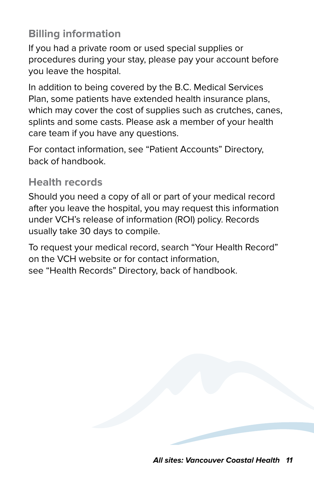#### **Billing information**

If you had a private room or used special supplies or procedures during your stay, please pay your account before you leave the hospital.

In addition to being covered by the B.C. Medical Services Plan, some patients have extended health insurance plans, which may cover the cost of supplies such as crutches, canes, splints and some casts. Please ask a member of your health care team if you have any questions.

For contact information, see "Patient Accounts" Directory, back of handbook.

#### **Health records**

Should you need a copy of all or part of your medical record after you leave the hospital, you may request this information under VCH's release of information (ROI) policy. Records usually take 30 days to compile.

To request your medical record, search "Your Health Record" on the VCH website or for contact information, see "Health Records" Directory, back of handbook.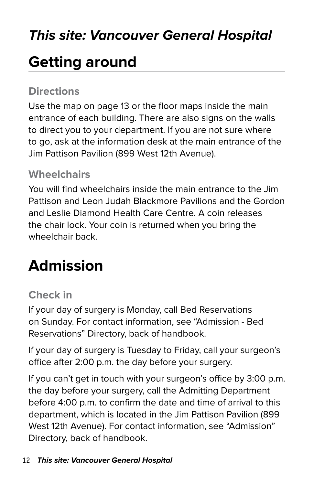## **This site: Vancouver General Hospital**

# **Getting around**

#### **Directions**

Use the map on page 13 or the floor maps inside the main entrance of each building. There are also signs on the walls to direct you to your department. If you are not sure where to go, ask at the information desk at the main entrance of the Jim Pattison Pavilion (899 West 12th Avenue).

#### **Wheelchairs**

You will find wheelchairs inside the main entrance to the Jim Pattison and Leon Judah Blackmore Pavilions and the Gordon and Leslie Diamond Health Care Centre. A coin releases the chair lock. Your coin is returned when you bring the wheelchair back.

# **Admission**

#### **Check in**

If your day of surgery is Monday, call Bed Reservations on Sunday. For contact information, see "Admission - Bed Reservations" Directory, back of handbook.

If your day of surgery is Tuesday to Friday, call your surgeon's office after 2:00 p.m. the day before your surgery.

If you can't get in touch with your surgeon's office by 3:00 p.m. the day before your surgery, call the Admitting Department before 4:00 p.m. to confirm the date and time of arrival to this department, which is located in the Jim Pattison Pavilion (899 West 12th Avenue). For contact information, see "Admission" Directory, back of handbook.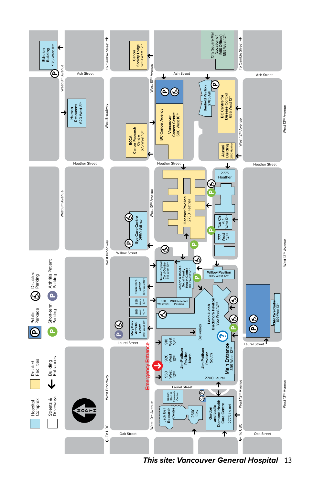

**This site: Vancouver General Hospital** 13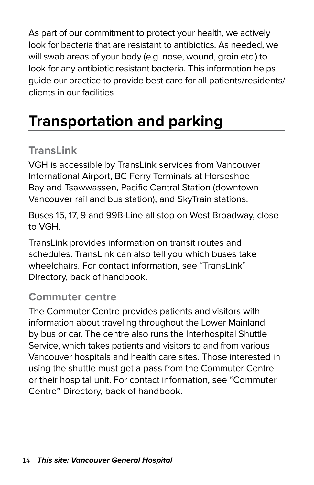As part of our commitment to protect your health, we actively look for bacteria that are resistant to antibiotics. As needed, we will swab areas of your body (e.g. nose, wound, groin etc.) to look for any antibiotic resistant bacteria. This information helps guide our practice to provide best care for all patients/residents/ clients in our facilities

# **Transportation and parking**

#### **TransLink**

VGH is accessible by TransLink services from Vancouver International Airport, BC Ferry Terminals at Horseshoe Bay and Tsawwassen, Pacific Central Station (downtown Vancouver rail and bus station), and SkyTrain stations.

Buses 15, 17, 9 and 99B-Line all stop on West Broadway, close to VGH.

TransLink provides information on transit routes and schedules. TransLink can also tell you which buses take wheelchairs. For contact information, see "TransLink" Directory, back of handbook.

#### **Commuter centre**

The Commuter Centre provides patients and visitors with information about traveling throughout the Lower Mainland by bus or car. The centre also runs the Interhospital Shuttle Service, which takes patients and visitors to and from various Vancouver hospitals and health care sites. Those interested in using the shuttle must get a pass from the Commuter Centre or their hospital unit. For contact information, see "Commuter Centre" Directory, back of handbook.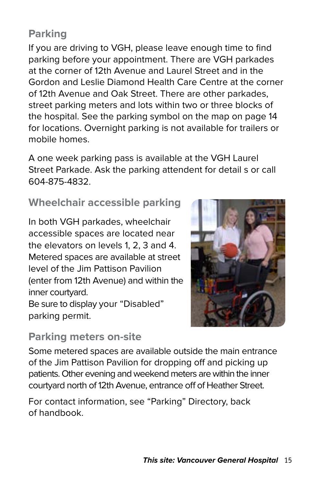### **Parking**

If you are driving to VGH, please leave enough time to find parking before your appointment. There are VGH parkades at the corner of 12th Avenue and Laurel Street and in the Gordon and Leslie Diamond Health Care Centre at the corner of 12th Avenue and Oak Street. There are other parkades, street parking meters and lots within two or three blocks of the hospital. See the parking symbol on the map on page 14 for locations. Overnight parking is not available for trailers or mobile homes.

A one week parking pass is available at the VGH Laurel Street Parkade. Ask the parking attendent for detail s or call 604-875-4832.

#### **Wheelchair accessible parking**

In both VGH parkades, wheelchair accessible spaces are located near the elevators on levels 1, 2, 3 and 4. Metered spaces are available at street level of the Jim Pattison Pavilion (enter from 12th Avenue) and within the inner courtyard.

Be sure to display your "Disabled" parking permit.



#### **Parking meters on-site**

Some metered spaces are available outside the main entrance of the Jim Pattison Pavilion for dropping off and picking up patients. Other evening and weekend meters are within the inner courtyard north of 12th Avenue, entrance off of Heather Street.

For contact information, see "Parking" Directory, back of handbook.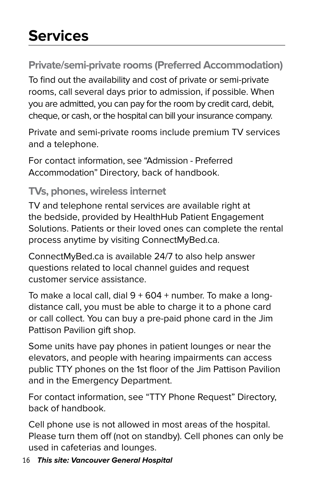# **Services**

### **Private/semi-private rooms (Preferred Accommodation)**

To find out the availability and cost of private or semi-private rooms, call several days prior to admission, if possible. When you are admitted, you can pay for the room by credit card, debit, cheque, or cash, or the hospital can bill your insurance company.

Private and semi-private rooms include premium TV services and a telephone.

For contact information, see "Admission - Preferred Accommodation" Directory, back of handbook.

#### **TVs, phones, wireless internet**

TV and telephone rental services are available right at the bedside, provided by HealthHub Patient Engagement Solutions. Patients or their loved ones can complete the rental process anytime by visiting ConnectMyBed.ca.

ConnectMyBed.ca is available 24/7 to also help answer questions related to local channel guides and request customer service assistance.

To make a local call, dial  $9 + 604 +$  number. To make a longdistance call, you must be able to charge it to a phone card or call collect. You can buy a pre-paid phone card in the Jim Pattison Pavilion gift shop.

Some units have pay phones in patient lounges or near the elevators, and people with hearing impairments can access public TTY phones on the 1st floor of the Jim Pattison Pavilion and in the Emergency Department.

For contact information, see "TTY Phone Request" Directory, back of handbook.

Cell phone use is not allowed in most areas of the hospital. Please turn them off (not on standby). Cell phones can only be used in cafeterias and lounges.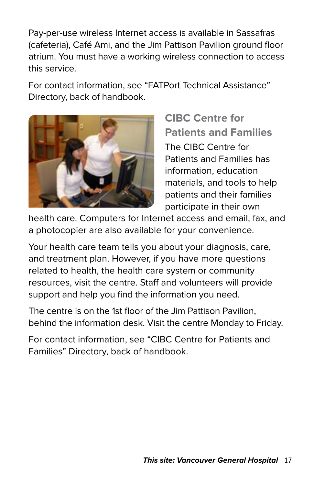Pay-per-use wireless Internet access is available in Sassafras (cafeteria), Café Ami, and the Jim Pattison Pavilion ground floor atrium. You must have a working wireless connection to access this service.

For contact information, see "FATPort Technical Assistance" Directory, back of handbook.



**CIBC Centre for Patients and Families** The CIBC Centre for Patients and Families has information, education materials, and tools to help patients and their families participate in their own

health care. Computers for Internet access and email, fax, and a photocopier are also available for your convenience.

Your health care team tells you about your diagnosis, care, and treatment plan. However, if you have more questions related to health, the health care system or community resources, visit the centre. Staff and volunteers will provide support and help you find the information you need.

The centre is on the 1st floor of the Jim Pattison Pavilion, behind the information desk. Visit the centre Monday to Friday.

For contact information, see "CIBC Centre for Patients and Families" Directory, back of handbook.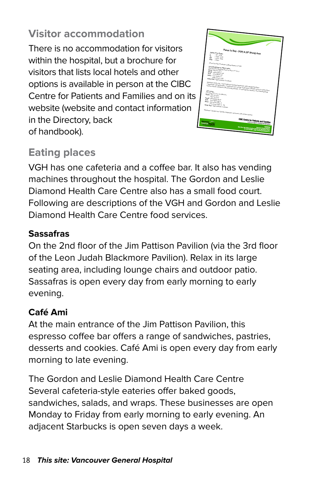### **Visitor accommodation**

There is no accommodation for visitors within the hospital, but a brochure for visitors that lists local hotels and other options is available in person at the CIBC Centre for Patients and Families and on its website (website and contact information in the Directory, back of handbook).



### **Eating places**

VGH has one cafeteria and a coffee bar. It also has vending machines throughout the hospital. The Gordon and Leslie Diamond Health Care Centre also has a small food court. Following are descriptions of the VGH and Gordon and Leslie Diamond Health Care Centre food services.

#### **Sassafras**

On the 2nd floor of the Jim Pattison Pavilion (via the 3rd floor of the Leon Judah Blackmore Pavilion). Relax in its large seating area, including lounge chairs and outdoor patio. Sassafras is open every day from early morning to early evening.

#### **Café Ami**

At the main entrance of the Jim Pattison Pavilion, this espresso coffee bar offers a range of sandwiches, pastries, desserts and cookies. Café Ami is open every day from early morning to late evening.

The Gordon and Leslie Diamond Health Care Centre Several cafeteria-style eateries offer baked goods, sandwiches, salads, and wraps. These businesses are open Monday to Friday from early morning to early evening. An adjacent Starbucks is open seven days a week.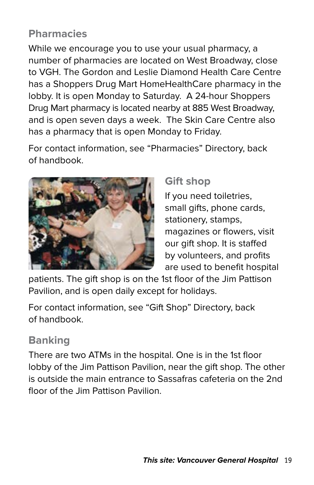### **Pharmacies**

While we encourage you to use your usual pharmacy, a number of pharmacies are located on West Broadway, close to VGH. The Gordon and Leslie Diamond Health Care Centre has a Shoppers Drug Mart HomeHealthCare pharmacy in the lobby. It is open Monday to Saturday. A 24-hour Shoppers Drug Mart pharmacy is located nearby at 885 West Broadway, and is open seven days a week. The Skin Care Centre also has a pharmacy that is open Monday to Friday.

For contact information, see "Pharmacies" Directory, back of handbook.



#### **Gift shop**

If you need toiletries, small gifts, phone cards, stationery, stamps, magazines or flowers, visit our gift shop. It is staffed by volunteers, and profits are used to benefit hospital

patients. The gift shop is on the 1st floor of the Jim Pattison Pavilion, and is open daily except for holidays.

For contact information, see "Gift Shop" Directory, back of handbook.

### **Banking**

There are two ATMs in the hospital. One is in the 1st floor lobby of the Jim Pattison Pavilion, near the gift shop. The other is outside the main entrance to Sassafras cafeteria on the 2nd floor of the Jim Pattison Pavilion.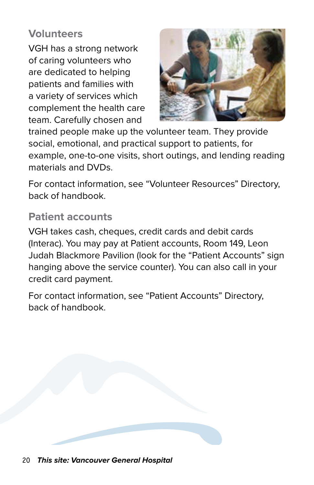#### **Volunteers**

VGH has a strong network of caring volunteers who are dedicated to helping patients and families with a variety of services which complement the health care team. Carefully chosen and



trained people make up the volunteer team. They provide social, emotional, and practical support to patients, for example, one-to-one visits, short outings, and lending reading materials and DVDs.

For contact information, see "Volunteer Resources" Directory, back of handbook.

#### **Patient accounts**

VGH takes cash, cheques, credit cards and debit cards (Interac). You may pay at Patient accounts, Room 149, Leon Judah Blackmore Pavilion (look for the "Patient Accounts" sign hanging above the service counter). You can also call in your credit card payment.

For contact information, see "Patient Accounts" Directory, back of handbook.

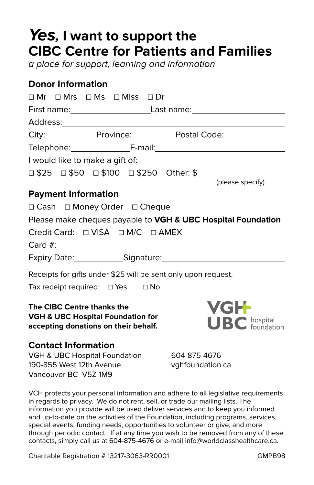## **Yes, I want to support the CIBC Centre for Patients and Families**

a place for support, learning and information

#### **Donor Information**

| □ Mr □ Mrs □ Ms □ Miss □ Dr                                                                                        |                                   |
|--------------------------------------------------------------------------------------------------------------------|-----------------------------------|
| First name:_____________________________Last name:______________________________                                   |                                   |
|                                                                                                                    |                                   |
|                                                                                                                    |                                   |
|                                                                                                                    |                                   |
| I would like to make a gift of:                                                                                    |                                   |
|                                                                                                                    |                                   |
|                                                                                                                    | (please specify)                  |
| <b>Payment Information</b>                                                                                         |                                   |
| □ Cash □ Money Order □ Cheque                                                                                      |                                   |
| Please make cheques payable to VGH & UBC Hospital Foundation                                                       |                                   |
|                                                                                                                    |                                   |
|                                                                                                                    |                                   |
| Expiry Date: Signature: Signature.                                                                                 |                                   |
| Receipts for gifts under \$25 will be sent only upon request.                                                      |                                   |
| Tax receipt required: □ Yes □ No                                                                                   |                                   |
| The CIBC Centre thanks the<br><b>VGH &amp; UBC Hospital Foundation for</b><br>accepting donations on their behalf. | <b>VGH</b><br><b>UBC</b> hospital |
| <b>Contact Information</b>                                                                                         |                                   |
| VGH & UBC Hospital Foundation 604-875-4676                                                                         |                                   |

190-855 West 12th Avenue vghfoundation.ca Vancouver BC V5Z 1M9

VCH protects your personal information and adhere to all legislative requirements in regards to privacy. We do not rent, sell, or trade our mailing lists. The information you provide will be used deliver services and to keep you informed and up-to-date on the activities of the Foundation, including programs, services, special events, funding needs, opportunities to volunteer or give, and more through periodic contact. If at any time you wish to be removed from any of these contacts, simply call us at 604-875-4676 or e-mail info@worldclasshealthcare.ca.

Charitable Registration # 13217-3063-RR0001 GMPB98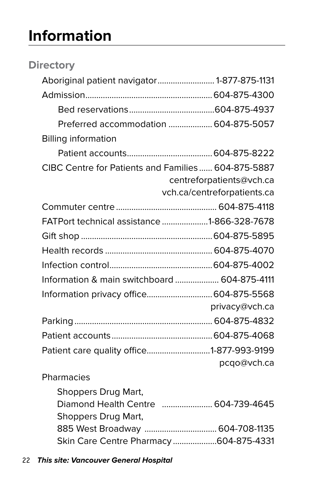# **Information**

| <b>Directory</b>                                   |                                        |
|----------------------------------------------------|----------------------------------------|
| Aboriginal patient navigator 1-877-875-1131        |                                        |
|                                                    |                                        |
|                                                    |                                        |
|                                                    | Preferred accommodation  604-875-5057  |
| <b>Billing information</b>                         |                                        |
|                                                    |                                        |
| CIBC Centre for Patients and Families 604-875-5887 |                                        |
|                                                    | centreforpatients@vch.ca               |
|                                                    | vch.ca/centreforpatients.ca            |
|                                                    |                                        |
| FATPort technical assistance 1-866-328-7678        |                                        |
|                                                    |                                        |
|                                                    |                                        |
|                                                    |                                        |
| Information & main switchboard  604-875-4111       |                                        |
| Information privacy office 604-875-5568            |                                        |
|                                                    | privacy@vch.ca                         |
|                                                    |                                        |
|                                                    |                                        |
| Patient care quality office1-877-993-9199          |                                        |
|                                                    | pcqo@vch.ca                            |
| Pharmacies                                         |                                        |
| Shoppers Drug Mart,                                |                                        |
|                                                    | Diamond Health Centre  604-739-4645    |
| Shoppers Drug Mart,                                |                                        |
|                                                    | 885 West Broadway  604-708-1135        |
|                                                    | Skin Care Centre Pharmacy 604-875-4331 |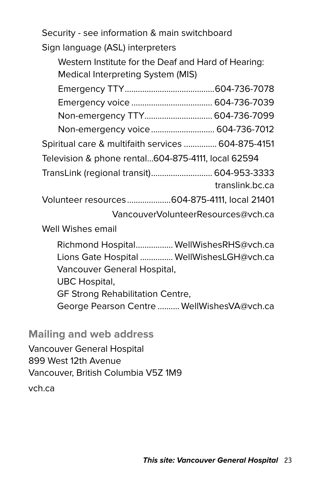Security - see information & main switchboard Sign language (ASL) interpreters

 Western Institute for the Deaf and Hard of Hearing: Medical Interpreting System (MIS)

| Non-emergency TTY 604-736-7099                     |                                    |
|----------------------------------------------------|------------------------------------|
| Non-emergency voice  604-736-7012                  |                                    |
| Spiritual care & multifaith services  604-875-4151 |                                    |
| Television & phone rental604-875-4111, local 62594 |                                    |
| TransLink (regional transit) 604-953-3333          |                                    |
|                                                    | translink.bc.ca                    |
| Volunteer resources604-875-4111, local 21401       |                                    |
|                                                    | VancouverVolunteerResources@vch.ca |
| Well Wishes email                                  |                                    |
|                                                    |                                    |

 Richmond Hospital................. WellWishesRHS@vch.ca Lions Gate Hospital ............... WellWishesLGH@vch.ca Vancouver General Hospital, UBC Hospital, GF Strong Rehabilitation Centre,

George Pearson Centre .......... WellWishesVA@vch.ca

**Mailing and web address**

Vancouver General Hospital 899 West 12th Avenue Vancouver, British Columbia V5Z 1M9

vch.ca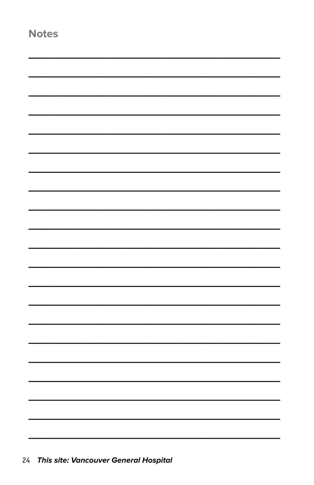| × | a.<br>____ | ٠ |
|---|------------|---|
|---|------------|---|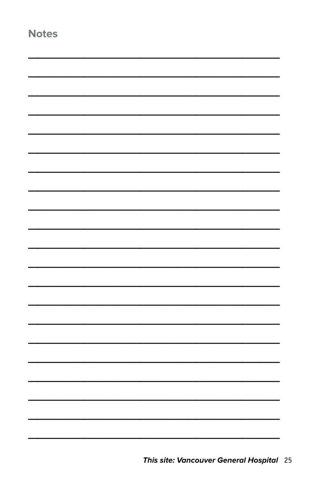| <b>Notes</b> |  |
|--------------|--|
|              |  |
|              |  |
|              |  |
|              |  |
|              |  |
|              |  |
|              |  |
|              |  |
|              |  |
|              |  |
|              |  |
|              |  |
|              |  |
|              |  |
|              |  |
|              |  |
|              |  |
|              |  |
|              |  |
|              |  |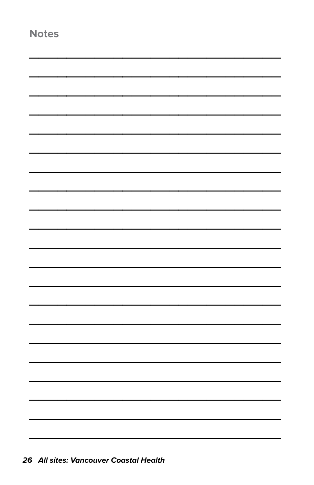| ×<br>٧<br>4<br>۰.<br>-<br>٠<br>., | ×<br>۰. |
|-----------------------------------|---------|
|-----------------------------------|---------|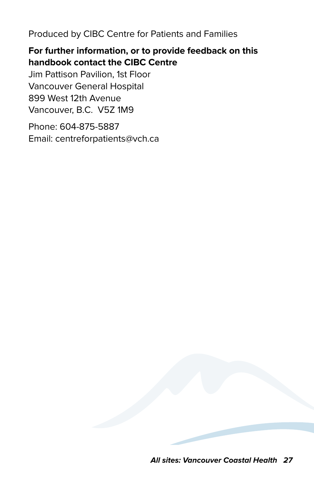Produced by CIBC Centre for Patients and Families

#### **For further information, or to provide feedback on this handbook contact the CIBC Centre**

Jim Pattison Pavilion, 1st Floor Vancouver General Hospital 899 West 12th Avenue Vancouver, B.C. V5Z 1M9

Phone: 604-875-5887 Email: centreforpatients@vch.ca